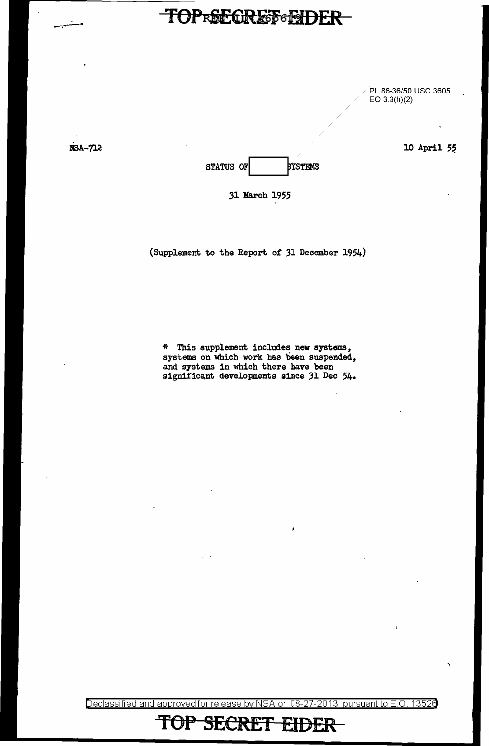#### TOPRECREF EIDER

PL 86-36/50 USC 3605 EO 3.3(h)(2)

10 April 55

NSA-712

STATUS OF BYSTEMS

31 March 1955

(Supplement to the Report of 31 December 1954)

\* Tb.is supplement includes new systems, systems on which work has been suspended, and systems in which there have been significant developments since 31 Dec 54.

Declassified and approved for release by NSA on 08-27-2013 pursuant to E.O. 13526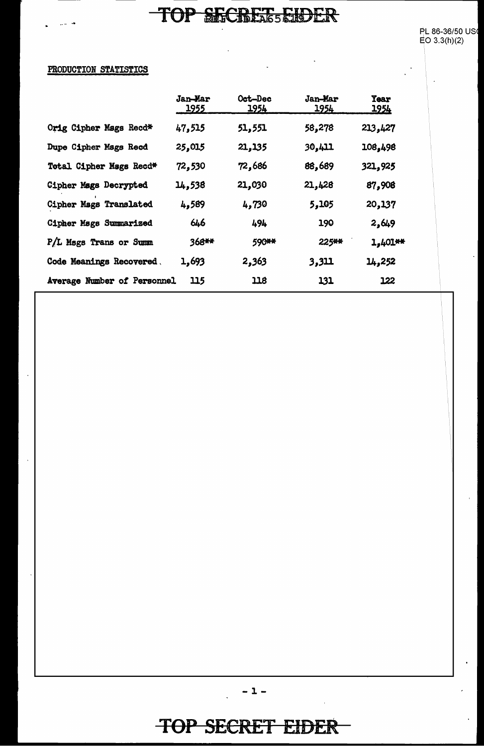$\mathbb{Z}^{\mathbb{Z}}$ 

 $\ddot{\phantom{a}}$ 

 $\ddot{\phantom{a}}$ 

 $\ddot{\phantom{a}}$ 

 $\frac{1}{2}$ 

#### PRODUCTION STATISTICS

|                               | <b>Jan-Mar</b><br><u> 1955 </u> | Oct-Dec<br>1954 | <b>Jan-Mar</b><br>1954 | <b>Year</b><br><u> 1954</u> |
|-------------------------------|---------------------------------|-----------------|------------------------|-----------------------------|
| Orig Cipher Mags Recd*        | 47,515                          | 51,551          | 58,278                 | 213,427                     |
| Dupe Cipher Mags Recd         | 25,015                          | 21,135          | <b>30,411</b>          | 108,498                     |
| Total Cipher Mags Recd*       | 72,530                          | 72,686          | 88,689                 | 321,925                     |
| <b>Cipher Mags Decrypted</b>  | 14,538                          | 21,030          | 21,428                 | 87,908                      |
| Cipher Mags Translated        | 4,589                           | 4,730           | 5,105                  | 20,137                      |
| <b>Cipher Mags Summarized</b> | 646                             | 494             | 190                    | 2,649                       |
| P/L Msgs Trans or Summ        | 368**                           | 590**           | 225**                  | $1,401**$                   |
| Code Meanings Recovered.      | 1,693                           | 2,363           | 3,311                  | 14,252                      |
| Average Number of Personnel   | 115                             | 118             | 131                    | 122                         |

 $-1-$ 

 $\ddot{\phantom{a}}$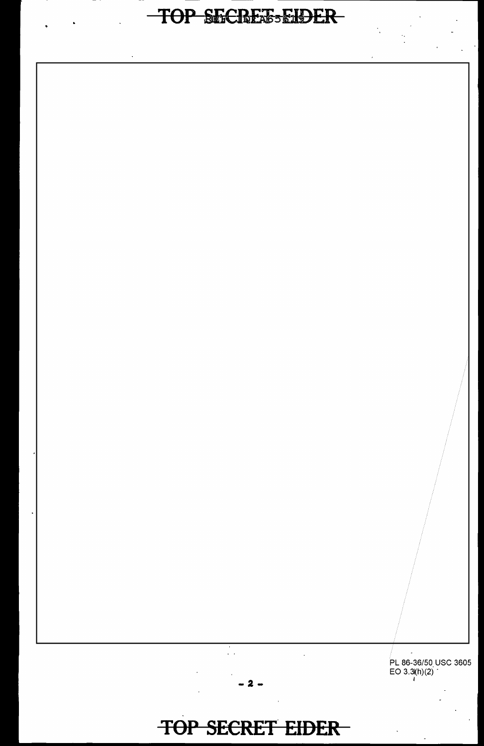# TOP SECREE-EIDER

PL 86-36/50 USC 3605<br>EO 3.3(h)(2)

# TOP SECRET EIDER

- 2 -

Ž,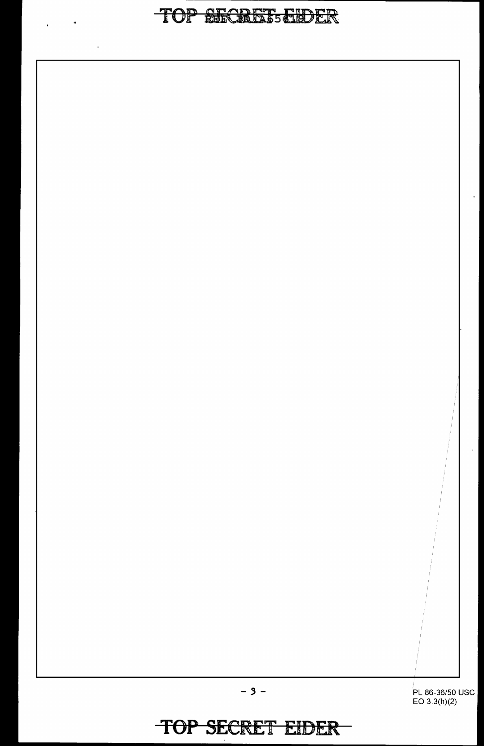#### TOP RECREE HDER

PL 86-36/50 USC EO 3.3(h)(2)

 $\hat{\mathbf{r}}$ 

 $\mathbf{r}$ 

**TOP SECRET EIDER** 

 $\overline{\phantom{0}}$ 

 $-3-$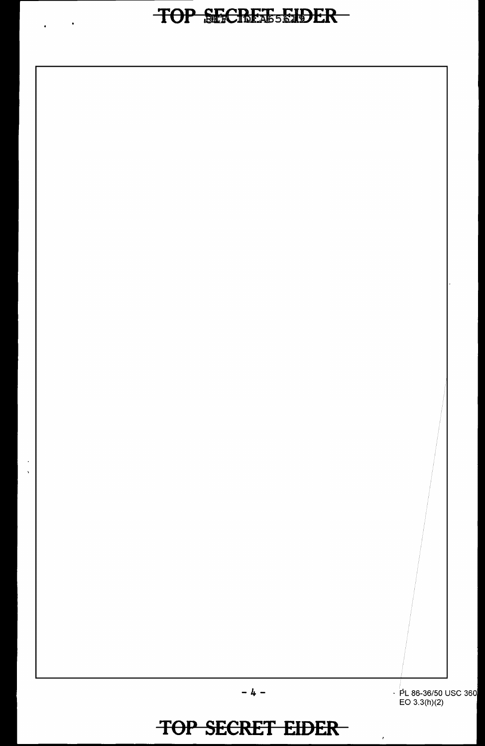$\bullet$ 

 $\ddot{\phantom{0}}$  $\ddot{\phantom{a}}$ 

 $\cdot$  PL 86-36/50 USC 360<br>EO 3.3(h)(2)

 $\epsilon$ 

TOP SECRET EIDER

 $-4 -$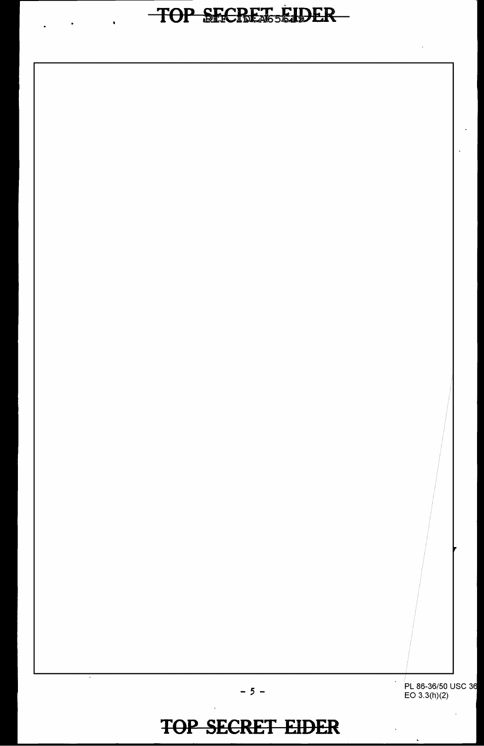PL 86-36/50 USC 36<br>EO 3.3(h)(2)

 $\epsilon$ 

#### **TOP SECRET EIDER**

 $-5 -$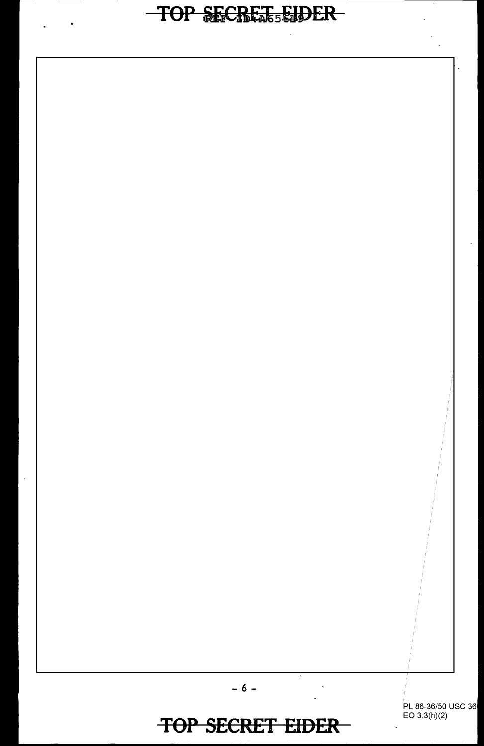PL 86-36/50 USC 36 EO 3.3(h)(2)

#### **TOP SECRET EIDER**

 $\overline{\phantom{a}}$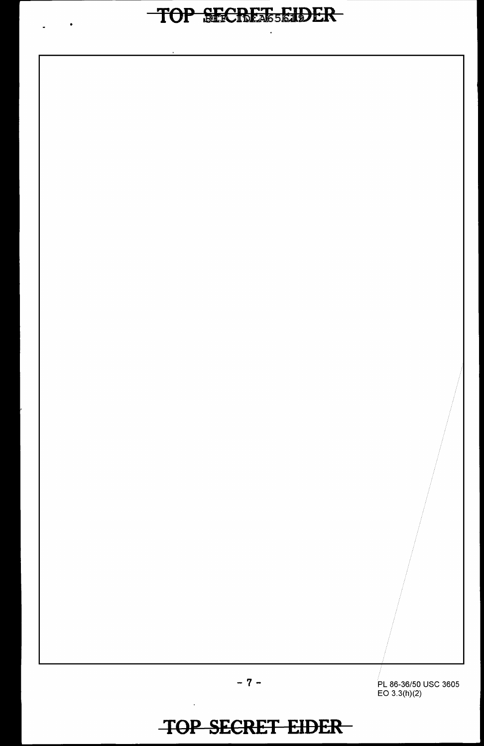$\bullet$ 

PL 86-36/50 USC 3605 EO 3.3(h)(2)

-7-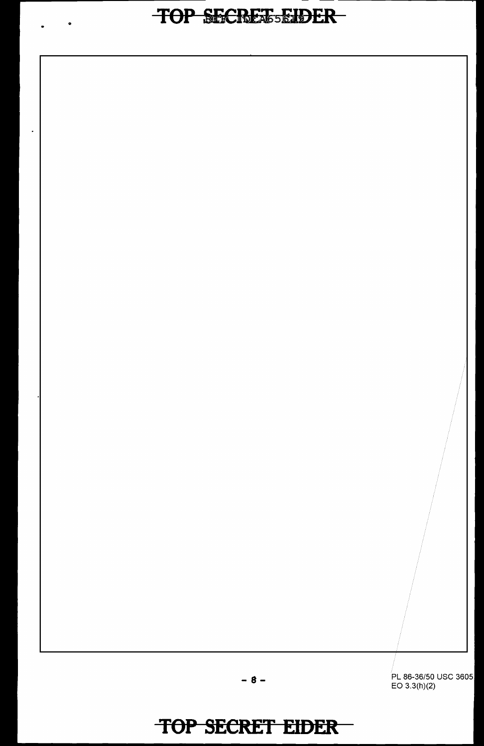# **COP SECRETSEIDER**

l.

PL 86-36/50 USC 3605 EO 3.3(h)(2)

-8-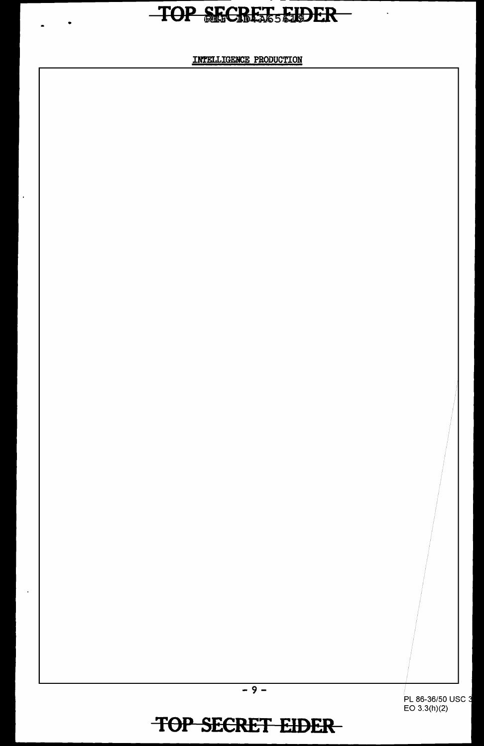•

 $\overline{a}$ 

INTELLIGENCE PRODUCTION

PL 86-36/50 USC 3 EO 3.3(h)(2)

 $-9-$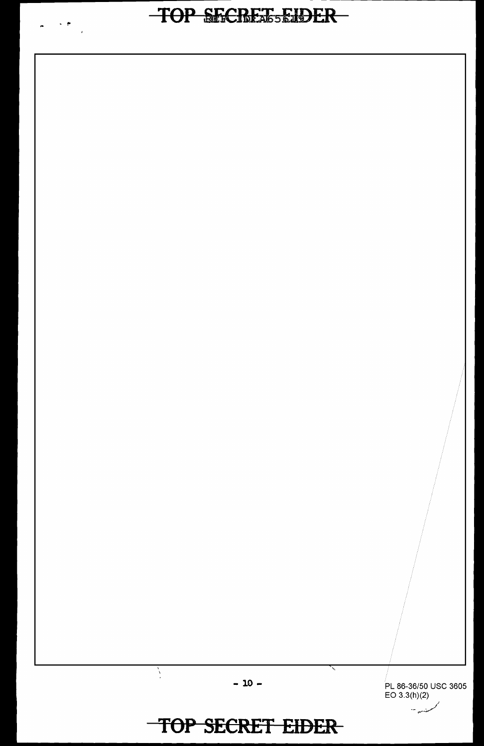$\begin{array}{ccc} \mathbf{a} & \mathbf{a} & \mathbf{b} & \mathbf{c} \\ \mathbf{a} & \mathbf{b} & \mathbf{b} & \mathbf{c} \end{array}$ 

PL 86-36/50 USC 3605  $EO 3.3(h)(2)$ 

ر<br>سندر ۲۰۰

# TOP SECRET EIDER

 $-10-$ 

₹

 $\sum_{i=1}^{N}$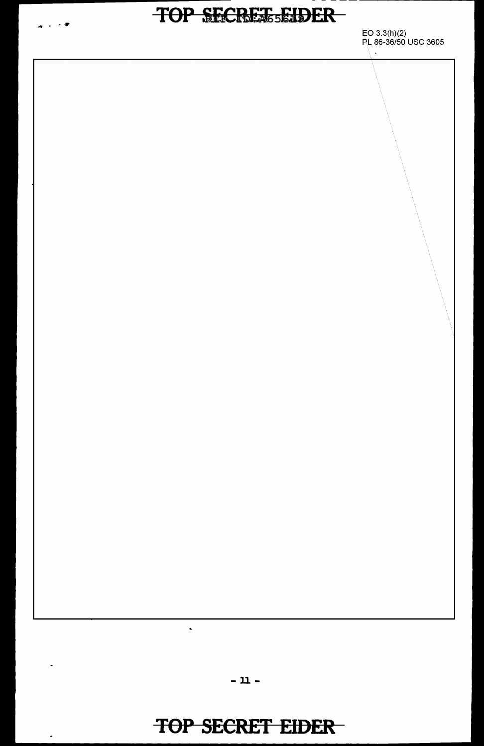

 $\blacksquare$